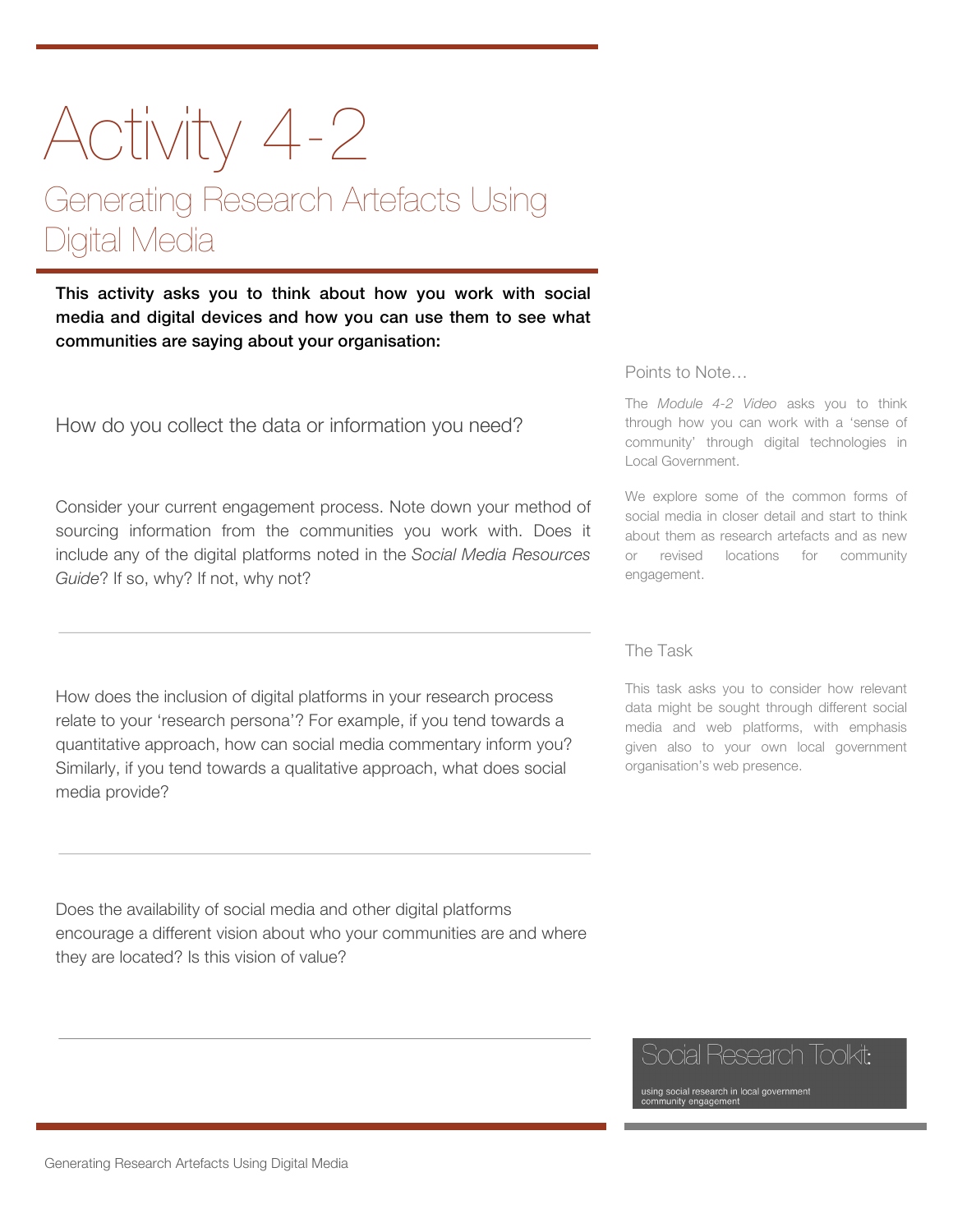# Activity 4-2 Generating Research Artefacts Using Digital Media

This activity asks you to think about how you work with social media and digital devices and how you can use them to see what communities are saying about your organisation:

How do you collect the data or information you need?

Consider your current engagement process. Note down your method of sourcing information from the communities you work with. Does it include any of the digital platforms noted in the *Social Media Resources*  Guide? If so, why? If not, why not?

How does the inclusion of digital platforms in your research process relate to your 'research persona'? For example, if you tend towards a quantitative approach, how can social media commentary inform you? Similarly, if you tend towards a qualitative approach, what does social media provide?

Does the availability of social media and other digital platforms encourage a different vision about who your communities are and where they are located? Is this vision of value?

#### Points to Note…

The *Module 4-2 Video* asks you to think through how you can work with a 'sense of community' through digital technologies in Local Government.

We explore some of the common forms of social media in closer detail and start to think about them as research artefacts and as new or revised locations for community engagement.

#### The Task

This task asks you to consider how relevant data might be sought through different social media and web platforms, with emphasis given also to your own local government organisation's web presence.

## Social Research Toolkit:

using social research in local government